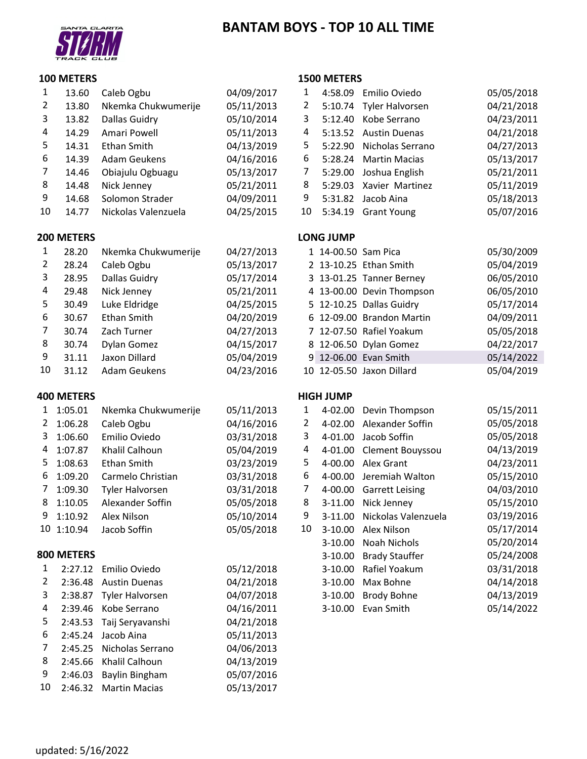# **BANTAM BOYS ‐ TOP 10 ALL TIME**



### **METERS**

|    | 13.60 | Caleb Ogbu          | 04/09/2017 |    |         | 4:58.09 Emilio Oviedo   | 05/05/2018 |
|----|-------|---------------------|------------|----|---------|-------------------------|------------|
|    | 13.80 | Nkemka Chukwumerije | 05/11/2013 | 2  |         | 5:10.74 Tyler Halvorsen | 04/21/2018 |
| 3  | 13.82 | Dallas Guidry       | 05/10/2014 | 3. | 5:12.40 | Kobe Serrano            | 04/23/2011 |
| 4  | 14.29 | Amari Powell        | 05/11/2013 | 4  | 5:13.52 | <b>Austin Duenas</b>    | 04/21/2018 |
| 5. | 14.31 | Ethan Smith         | 04/13/2019 | 5. | 5:22.90 | Nicholas Serrano        | 04/27/2013 |
| 6  | 14.39 | Adam Geukens        | 04/16/2016 | 6  | 5:28.24 | <b>Martin Macias</b>    | 05/13/2017 |
|    | 14.46 | Obiajulu Ogbuagu    | 05/13/2017 |    | 5:29.00 | Joshua English          | 05/21/2011 |
| 8  | 14.48 | Nick Jenney         | 05/21/2011 | 8  | 5:29.03 | Xavier Martinez         | 05/11/2019 |
| 9  | 14.68 | Solomon Strader     | 04/09/2011 | 9  | 5:31.82 | Jacob Aina              | 05/18/2013 |
| 10 | 14.77 | Nickolas Valenzuela | 04/25/2015 | 10 | 5:34.19 | <b>Grant Young</b>      | 05/07/2016 |

### **METERS LONG JUMP**

|    |       |                     |            | --------                  |            |
|----|-------|---------------------|------------|---------------------------|------------|
|    | 28.20 | Nkemka Chukwumerije | 04/27/2013 | 1 14-00.50 Sam Pica       | 05/30/2009 |
|    | 28.24 | Caleb Ogbu          | 05/13/2017 | 2 13-10.25 Ethan Smith    | 05/04/2019 |
| 3  | 28.95 | Dallas Guidry       | 05/17/2014 | 3 13-01.25 Tanner Berney  | 06/05/2010 |
| 4  | 29.48 | Nick Jenney         | 05/21/2011 | 4 13-00.00 Devin Thompson | 06/05/2010 |
| 5. | 30.49 | Luke Eldridge       | 04/25/2015 | 5 12-10.25 Dallas Guidry  | 05/17/2014 |
| 6  | 30.67 | Ethan Smith         | 04/20/2019 | 6 12-09.00 Brandon Martin | 04/09/2011 |
|    | 30.74 | Zach Turner         | 04/27/2013 | 7 12-07.50 Rafiel Yoakum  | 05/05/2018 |
| 8  | 30.74 | Dylan Gomez         | 04/15/2017 | 8 12-06.50 Dylan Gomez    | 04/22/2017 |
| 9  | 31.11 | Jaxon Dillard       | 05/04/2019 | 9 12-06.00 Evan Smith     | 05/14/2022 |
| 10 | 31.12 | <b>Adam Geukens</b> | 04/23/2016 | 10 12-05.50 Jaxon Dillard | 05/04/2019 |

| 1              | 1:05.01    | Nkemka Chukwumerije    | 05/11/2013 |
|----------------|------------|------------------------|------------|
| $\overline{2}$ | 1:06.28    | Caleb Ogbu             | 04/16/2016 |
| 3              | 1:06.60    | Emilio Oviedo          | 03/31/2018 |
| 4              | 1:07.87    | Khalil Calhoun         | 05/04/2019 |
| 5              | 1:08.63    | Ethan Smith            | 03/23/2019 |
| 6              | 1:09.20    | Carmelo Christian      | 03/31/2018 |
| 7              | 1:09.30    | <b>Tyler Halvorsen</b> | 03/31/2018 |
| 8              | 1:10.05    | Alexander Soffin       | 05/05/2018 |
| 9              | 1:10.92    | Alex Nilson            | 05/10/2014 |
| 10             | 1:10.94    | Jacob Soffin           | 05/05/2018 |
|                | 800 METERS |                        |            |
| 1              | 2:27.12    | Emilio Oviedo          | 05/12/2018 |
| 2              | 2:36.48    | <b>Austin Duenas</b>   | 04/21/2018 |
| 3              | 2:38.87    | <b>Tyler Halvorsen</b> | 04/07/2018 |
| 4              | 2:39.46    | Kobe Serrano           | 04/16/2011 |
| 5              | 2:43.53    | Taij Seryavanshi       | 04/21/2018 |
| 6              | 2:45.24    | Jacob Aina             | 05/11/2013 |

 2:45.25 Nicholas Serrano 04/06/2013 2:45.66 Khalil Calhoun 04/13/2019 2:46.03 Baylin Bingham 05/07/2016 2:46.32 Martin Macias 05/13/2017

### **METERS**

| 1              | 4:58.09 Emilio Oviedo    | 05/05/2018 |
|----------------|--------------------------|------------|
| $\overline{2}$ | 5:10.74 Tyler Halvorsen  | 04/21/2018 |
| 3              | 5:12.40 Kobe Serrano     | 04/23/2011 |
| 4              | 5:13.52 Austin Duenas    | 04/21/2018 |
| 5              | 5:22.90 Nicholas Serrano | 04/27/2013 |
| 6              | 5:28.24 Martin Macias    | 05/13/2017 |
| 7              | 5:29.00 Joshua English   | 05/21/2011 |
| 8              | 5:29.03 Xavier Martinez  | 05/11/2019 |
| 9              | 5:31.82 Jacob Aina       | 05/18/2013 |
| 10             | 5:34.19 Grant Young      | 05/07/2016 |

|  | 1 14-00.50 Sam Pica |                           | 05/30/2009 |
|--|---------------------|---------------------------|------------|
|  |                     | 2 13-10.25 Ethan Smith    | 05/04/2019 |
|  |                     | 3 13-01.25 Tanner Berney  | 06/05/2010 |
|  |                     | 4 13-00.00 Devin Thompson | 06/05/2010 |
|  |                     | 5 12-10.25 Dallas Guidry  | 05/17/2014 |
|  |                     | 6 12-09.00 Brandon Martin | 04/09/2011 |
|  |                     | 7 12-07.50 Rafiel Yoakum  | 05/05/2018 |
|  |                     | 8 12-06.50 Dylan Gomez    | 04/22/2017 |
|  |                     | 9 12-06.00 Evan Smith     | 05/14/2022 |
|  |                     | 10 12-05.50 Jaxon Dillard | 05/04/2019 |

## **METERS HIGH JUMP**

| 1  | 1:05.01    | Nkemka Chukwumerije    | 05/11/2013 | 1                     | 4-02.00     | Devin Thompson         | 05/15/2011 |
|----|------------|------------------------|------------|-----------------------|-------------|------------------------|------------|
| 2  | 1:06.28    | Caleb Ogbu             | 04/16/2016 | $\mathbf{2}^{\prime}$ | $4 - 02.00$ | Alexander Soffin       | 05/05/2018 |
| 3  | 1:06.60    | Emilio Oviedo          | 03/31/2018 | 3                     | 4-01.00     | Jacob Soffin           | 05/05/2018 |
| 4  | 1:07.87    | Khalil Calhoun         | 05/04/2019 | 4                     | 4-01.00     | Clement Bouyssou       | 04/13/2019 |
| 5. | 1:08.63    | Ethan Smith            | 03/23/2019 | 5.                    | 4-00.00     | Alex Grant             | 04/23/2011 |
| 6  | 1:09.20    | Carmelo Christian      | 03/31/2018 | 6                     | 4-00.00     | Jeremiah Walton        | 05/15/2010 |
| 7  | 1:09.30    | Tyler Halvorsen        | 03/31/2018 | 7                     | 4-00.00     | <b>Garrett Leising</b> | 04/03/2010 |
| 8  | 1:10.05    | Alexander Soffin       | 05/05/2018 | 8                     | $3-11.00$   | Nick Jenney            | 05/15/2010 |
| 9  | 1:10.92    | Alex Nilson            | 05/10/2014 | 9                     | $3-11.00$   | Nickolas Valenzuela    | 03/19/2016 |
|    | 10 1:10.94 | Jacob Soffin           | 05/05/2018 | 10                    | $3-10.00$   | Alex Nilson            | 05/17/2014 |
|    |            |                        |            |                       | $3-10.00$   | Noah Nichols           | 05/20/2014 |
|    | 800 METERS |                        |            |                       | $3-10.00$   | <b>Brady Stauffer</b>  | 05/24/2008 |
| 1  | 2:27.12    | Emilio Oviedo          | 05/12/2018 |                       | 3-10.00     | Rafiel Yoakum          | 03/31/2018 |
| 2  | 2:36.48    | <b>Austin Duenas</b>   | 04/21/2018 |                       | 3-10.00     | Max Bohne              | 04/14/2018 |
| 3  | 2:38.87    | <b>Tyler Halvorsen</b> | 04/07/2018 |                       | $3-10.00$   | <b>Brody Bohne</b>     | 04/13/2019 |
| 4  | 2:39.46    | Kobe Serrano           | 04/16/2011 |                       | 3-10.00     | Evan Smith             | 05/14/2022 |
|    |            |                        |            |                       |             |                        |            |